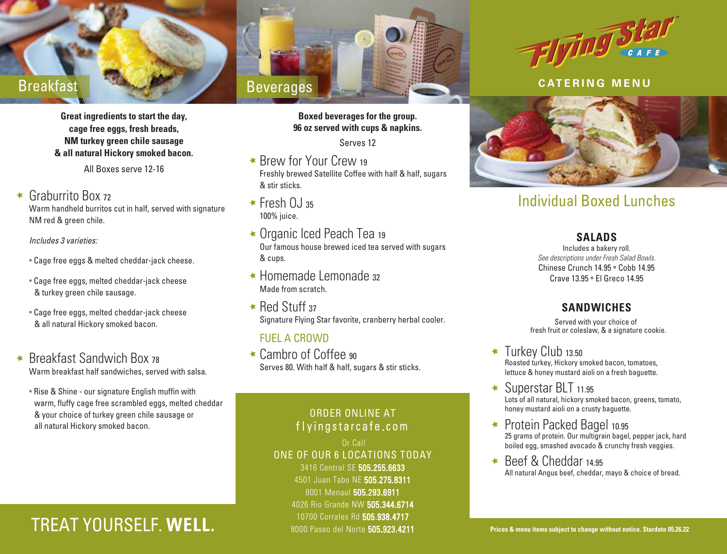**Great ingredients to start the day, cage free eggs, fresh breads, NM turkey green chile sausage & all natural Hickory smoked bacon.**

All Boxes serve 12-16

#### Graburrito Box <sup>72</sup>  $\overline{\mathbf{x}}$

Warm handheld burritos cut in half, served with signature NM red & green chile.

*Includes 3 varieties:*

- Cage free eggs & melted cheddar-jack cheese.
- Cage free eggs, melted cheddar-jack cheese & turkey green chile sausage.
- Cage free eggs, melted cheddar-jack cheese & all natural Hickory smoked bacon.
- Breakfast Sandwich Box <sup>78</sup>  $\blacktriangleleft$ Warm breakfast half sandwiches, served with salsa.
	- Rise & Shine our signature English muffin with warm, fluffy cage free scrambled eggs, melted cheddar & your choice of turkey green chile sausage or all natural Hickory smoked bacon.

# TREAT YOURSELF. **WELL.** 8000 Paseo del Norte 505.923.4211 **Prices & menu items subject to change without notice. Stardate 05.26.22**



### **Boxed beverages for the group. 96 oz served with cups & napkins.**

Serves 12

- \* Brew for Your Crew 19 Freshly brewed Satellite Coffee with half & half, sugars & stir sticks.
- $\star$  Fresh 0.1 35 100% juice.
- Organic Iced Peach Tea <sup>19</sup> Our famous house brewed iced tea served with sugars & cups.
- Homemade Lemonade <sup>32</sup> Made from scratch.
- $\star$  Red Stuff 37 Signature Flying Star favorite, cranberry herbal cooler.

### FUEL A CROWD

 $\star$  Cambro of Coffee 90 Serves 80. With half & half, sugars & stir sticks.

### ORDER ONLINE AT flyingstarcafe.com

 Or Call ONE OF OUR 6 LOCATIONS TODAY 3416 Central SE 505.255.6633 4501 Juan Tabo NE 505.275.8311 8001 Menaul 505.293.6911 4026 Rio Grande NW 505.344.6714 10700 Corrales Rd 505.938.4717



### **CATERING MENU**



# Individual Boxed Lunches

### **SALADS**

Includes a bakery roll. *See descriptions under Fresh Salad Bowls.* Chinese Crunch 14.95 • Cobb 14.95 Crave 13.95 • El Greco 14.95

### **SANDWICHES**

Served with your choice of fresh fruit or coleslaw, & a signature cookie.

**Turkey Club 13.50** Roasted turkey, Hickory smoked bacon, tomatoes, lettuce & honey mustard aioli on a fresh baguette.

- Superstar BLT 11.95 Lots of all natural, hickory smoked bacon, greens, tomato, honey mustard aioli on a crusty baguette.
- Protein Packed Bagel 10.95  $\bigstar$ 25 grams of protein. Our multigrain bagel, pepper jack, hard boiled egg, smashed avocado & crunchy fresh veggies.
- Beef & Cheddar 14.95 All natural Angus beef, cheddar, mayo & choice of bread.